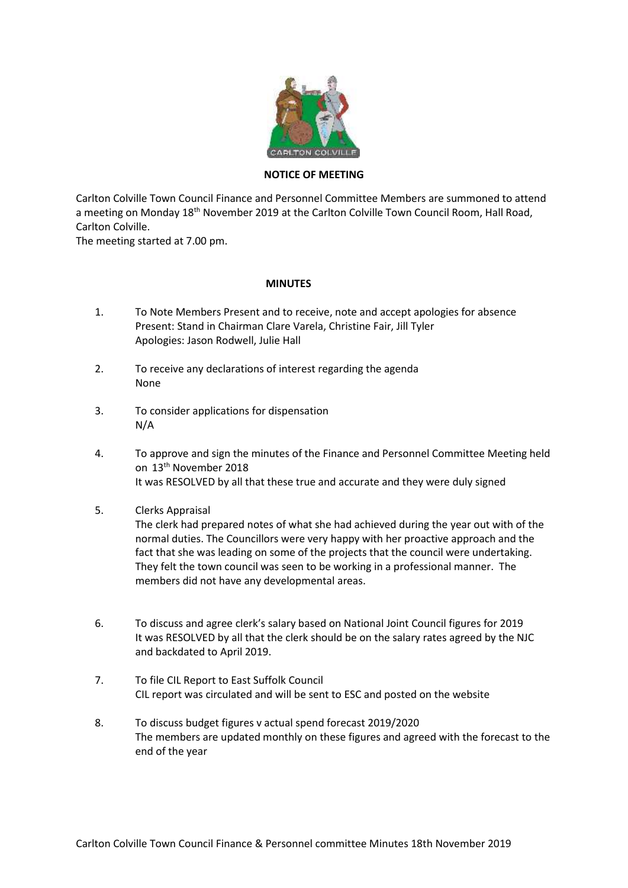

## **NOTICE OF MEETING**

Carlton Colville Town Council Finance and Personnel Committee Members are summoned to attend a meeting on Monday 18<sup>th</sup> November 2019 at the Carlton Colville Town Council Room, Hall Road, Carlton Colville.

The meeting started at 7.00 pm.

## **MINUTES**

- 1. To Note Members Present and to receive, note and accept apologies for absence Present: Stand in Chairman Clare Varela, Christine Fair, Jill Tyler Apologies: Jason Rodwell, Julie Hall
- 2. To receive any declarations of interest regarding the agenda None
- 3. To consider applications for dispensation N/A
- 4. To approve and sign the minutes of the Finance and Personnel Committee Meeting held on 13th November 2018 It was RESOLVED by all that these true and accurate and they were duly signed
- 5. Clerks Appraisal

The clerk had prepared notes of what she had achieved during the year out with of the normal duties. The Councillors were very happy with her proactive approach and the fact that she was leading on some of the projects that the council were undertaking. They felt the town council was seen to be working in a professional manner. The members did not have any developmental areas.

- 6. To discuss and agree clerk's salary based on National Joint Council figures for 2019 It was RESOLVED by all that the clerk should be on the salary rates agreed by the NJC and backdated to April 2019.
- 7. To file CIL Report to East Suffolk Council CIL report was circulated and will be sent to ESC and posted on the website
- 8. To discuss budget figures v actual spend forecast 2019/2020 The members are updated monthly on these figures and agreed with the forecast to the end of the year